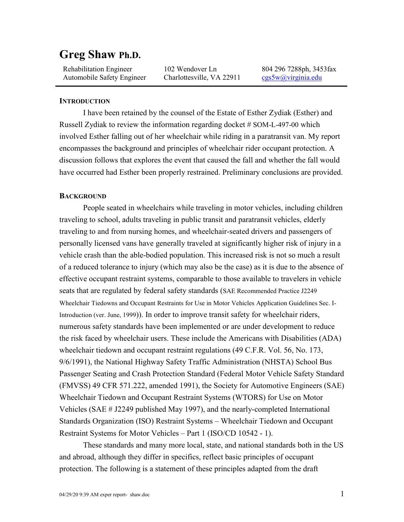# **Greg Shaw Ph.D.**

 Rehabilitation Engineer Automobile Safety Engineer

102 Wendover Ln Charlottesville, VA 22911 804 296 7288ph, 3453fax [cgs5w@virginia.edu](mailto:cgs5w@virginia.edu)

#### **INTRODUCTION**

I have been retained by the counsel of the Estate of Esther Zydiak (Esther) and Russell Zydiak to review the information regarding docket # SOM-L-497-00 which involved Esther falling out of her wheelchair while riding in a paratransit van. My report encompasses the background and principles of wheelchair rider occupant protection. A discussion follows that explores the event that caused the fall and whether the fall would have occurred had Esther been properly restrained. Preliminary conclusions are provided.

#### **BACKGROUND**

People seated in wheelchairs while traveling in motor vehicles, including children traveling to school, adults traveling in public transit and paratransit vehicles, elderly traveling to and from nursing homes, and wheelchair-seated drivers and passengers of personally licensed vans have generally traveled at significantly higher risk of injury in a vehicle crash than the able-bodied population. This increased risk is not so much a result of a reduced tolerance to injury (which may also be the case) as it is due to the absence of effective occupant restraint systems, comparable to those available to travelers in vehicle seats that are regulated by federal safety standards (SAE Recommended Practice J2249 Wheelchair Tiedowns and Occupant Restraints for Use in Motor Vehicles Application Guidelines Sec. I-Introduction (ver. June, 1999)). In order to improve transit safety for wheelchair riders, numerous safety standards have been implemented or are under development to reduce the risk faced by wheelchair users. These include the Americans with Disabilities (ADA) wheelchair tiedown and occupant restraint regulations (49 C.F.R. Vol. 56, No. 173, 9/6/1991), the National Highway Safety Traffic Administration (NHSTA) School Bus Passenger Seating and Crash Protection Standard (Federal Motor Vehicle Safety Standard (FMVSS) 49 CFR 571.222, amended 1991), the Society for Automotive Engineers (SAE) Wheelchair Tiedown and Occupant Restraint Systems (WTORS) for Use on Motor Vehicles (SAE # J2249 published May 1997), and the nearly-completed International Standards Organization (ISO) Restraint Systems – Wheelchair Tiedown and Occupant Restraint Systems for Motor Vehicles – Part 1 (ISO/CD 10542 - 1).

These standards and many more local, state, and national standards both in the US and abroad, although they differ in specifics, reflect basic principles of occupant protection. The following is a statement of these principles adapted from the draft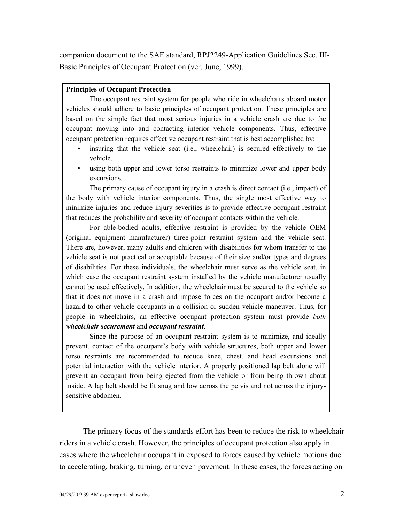companion document to the SAE standard, RPJ2249-Application Guidelines Sec. III-Basic Principles of Occupant Protection (ver. June, 1999).

#### **Principles of Occupant Protection**

The occupant restraint system for people who ride in wheelchairs aboard motor vehicles should adhere to basic principles of occupant protection. These principles are based on the simple fact that most serious injuries in a vehicle crash are due to the occupant moving into and contacting interior vehicle components. Thus, effective occupant protection requires effective occupant restraint that is best accomplished by:

- insuring that the vehicle seat (i.e., wheelchair) is secured effectively to the vehicle.
- using both upper and lower torso restraints to minimize lower and upper body excursions.

The primary cause of occupant injury in a crash is direct contact (i.e., impact) of the body with vehicle interior components. Thus, the single most effective way to minimize injuries and reduce injury severities is to provide effective occupant restraint that reduces the probability and severity of occupant contacts within the vehicle.

For able-bodied adults, effective restraint is provided by the vehicle OEM (original equipment manufacturer) three-point restraint system and the vehicle seat. There are, however, many adults and children with disabilities for whom transfer to the vehicle seat is not practical or acceptable because of their size and/or types and degrees of disabilities. For these individuals, the wheelchair must serve as the vehicle seat, in which case the occupant restraint system installed by the vehicle manufacturer usually cannot be used effectively. In addition, the wheelchair must be secured to the vehicle so that it does not move in a crash and impose forces on the occupant and/or become a hazard to other vehicle occupants in a collision or sudden vehicle maneuver. Thus, for people in wheelchairs, an effective occupant protection system must provide *both wheelchair securement* and *occupant restraint*.

Since the purpose of an occupant restraint system is to minimize, and ideally prevent, contact of the occupant's body with vehicle structures, both upper and lower torso restraints are recommended to reduce knee, chest, and head excursions and potential interaction with the vehicle interior. A properly positioned lap belt alone will prevent an occupant from being ejected from the vehicle or from being thrown about inside. A lap belt should be fit snug and low across the pelvis and not across the injurysensitive abdomen.

The primary focus of the standards effort has been to reduce the risk to wheelchair riders in a vehicle crash. However, the principles of occupant protection also apply in cases where the wheelchair occupant in exposed to forces caused by vehicle motions due to accelerating, braking, turning, or uneven pavement. In these cases, the forces acting on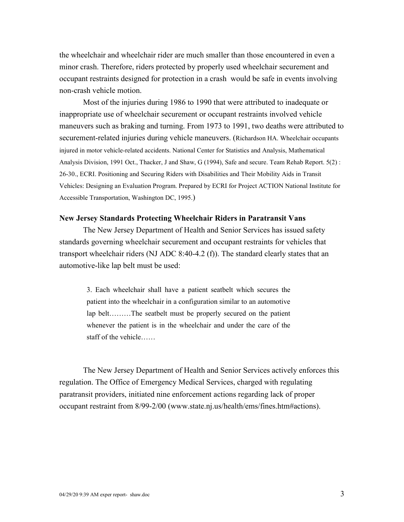the wheelchair and wheelchair rider are much smaller than those encountered in even a minor crash. Therefore, riders protected by properly used wheelchair securement and occupant restraints designed for protection in a crash would be safe in events involving non-crash vehicle motion.

Most of the injuries during 1986 to 1990 that were attributed to inadequate or inappropriate use of wheelchair securement or occupant restraints involved vehicle maneuvers such as braking and turning. From 1973 to 1991, two deaths were attributed to securement-related injuries during vehicle maneuvers. (Richardson HA. Wheelchair occupants injured in motor vehicle-related accidents. National Center for Statistics and Analysis, Mathematical Analysis Division, 1991 Oct., Thacker, J and Shaw, G (1994), Safe and secure. Team Rehab Report. 5(2) : 26-30., ECRI. Positioning and Securing Riders with Disabilities and Their Mobility Aids in Transit Vehicles: Designing an Evaluation Program. Prepared by ECRI for Project ACTION National Institute for Accessible Transportation, Washington DC, 1995.)

#### **New Jersey Standards Protecting Wheelchair Riders in Paratransit Vans**

The New Jersey Department of Health and Senior Services has issued safety standards governing wheelchair securement and occupant restraints for vehicles that transport wheelchair riders (NJ ADC 8:40-4.2  $(f)$ ). The standard clearly states that an automotive-like lap belt must be used:

3. Each wheelchair shall have a patient seatbelt which secures the patient into the wheelchair in a configuration similar to an automotive lap belt………The seatbelt must be properly secured on the patient whenever the patient is in the wheelchair and under the care of the staff of the vehicle……

The New Jersey Department of Health and Senior Services actively enforces this regulation. The Office of Emergency Medical Services, charged with regulating paratransit providers, initiated nine enforcement actions regarding lack of proper occupant restraint from 8/99-2/00 (www.state.nj.us/health/ems/fines.htm#actions).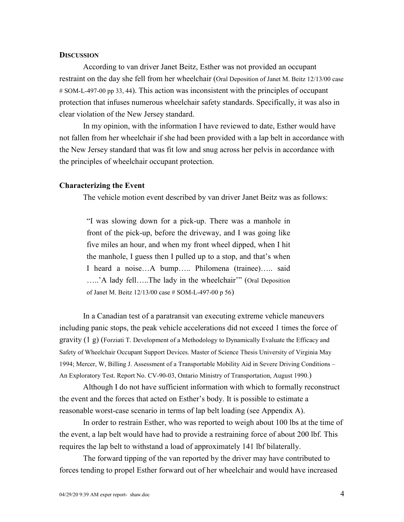#### **DISCUSSION**

According to van driver Janet Beitz, Esther was not provided an occupant restraint on the day she fell from her wheelchair (Oral Deposition of Janet M. Beitz 12/13/00 case # SOM-L-497-00 pp 33, 44). This action was inconsistent with the principles of occupant protection that infuses numerous wheelchair safety standards. Specifically, it was also in clear violation of the New Jersey standard.

In my opinion, with the information I have reviewed to date, Esther would have not fallen from her wheelchair if she had been provided with a lap belt in accordance with the New Jersey standard that was fit low and snug across her pelvis in accordance with the principles of wheelchair occupant protection.

#### **Characterizing the Event**

The vehicle motion event described by van driver Janet Beitz was as follows:

"I was slowing down for a pick-up. There was a manhole in front of the pick-up, before the driveway, and I was going like five miles an hour, and when my front wheel dipped, when I hit the manhole, I guess then I pulled up to a stop, and that's when I heard a noise…A bump….. Philomena (trainee)….. said …..'A lady fell…..The lady in the wheelchair'" (Oral Deposition of Janet M. Beitz 12/13/00 case # SOM-L-497-00 p 56)

In a Canadian test of a paratransit van executing extreme vehicle maneuvers including panic stops, the peak vehicle accelerations did not exceed 1 times the force of gravity (1 g) (Forziati T. Development of a Methodology to Dynamically Evaluate the Efficacy and Safety of Wheelchair Occupant Support Devices. Master of Science Thesis University of Virginia May 1994; Mercer, W, Billing J. Assessment of a Transportable Mobility Aid in Severe Driving Conditions – An Exploratory Test. Report No. CV-90-03, Ontario Ministry of Transportation, August 1990.)

Although I do not have sufficient information with which to formally reconstruct the event and the forces that acted on Esther's body. It is possible to estimate a reasonable worst-case scenario in terms of lap belt loading (see Appendix A).

In order to restrain Esther, who was reported to weigh about 100 lbs at the time of the event, a lap belt would have had to provide a restraining force of about 200 lbf. This requires the lap belt to withstand a load of approximately 141 lbf bilaterally.

The forward tipping of the van reported by the driver may have contributed to forces tending to propel Esther forward out of her wheelchair and would have increased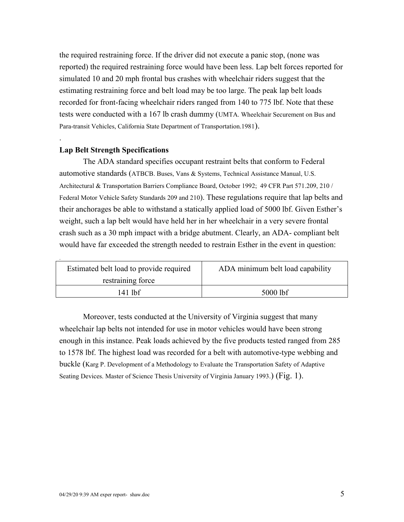the required restraining force. If the driver did not execute a panic stop, (none was reported) the required restraining force would have been less. Lap belt forces reported for simulated 10 and 20 mph frontal bus crashes with wheelchair riders suggest that the estimating restraining force and belt load may be too large. The peak lap belt loads recorded for front-facing wheelchair riders ranged from 140 to 775 lbf. Note that these tests were conducted with a 167 lb crash dummy (UMTA. Wheelchair Securement on Bus and Para-transit Vehicles, California State Department of Transportation.1981).

#### **Lap Belt Strength Specifications**

.

.

The ADA standard specifies occupant restraint belts that conform to Federal automotive standards (ATBCB. Buses, Vans & Systems, Technical Assistance Manual, U.S. Architectural & Transportation Barriers Compliance Board, October 1992; 49 CFR Part 571.209, 210 / Federal Motor Vehicle Safety Standards 209 and 210). These regulations require that lap belts and their anchorages be able to withstand a statically applied load of 5000 lbf. Given Esther's weight, such a lap belt would have held her in her wheelchair in a very severe frontal crash such as a 30 mph impact with a bridge abutment. Clearly, an ADA- compliant belt would have far exceeded the strength needed to restrain Esther in the event in question:

| Estimated belt load to provide required | ADA minimum belt load capability |
|-----------------------------------------|----------------------------------|
| restraining force                       |                                  |
| 141 lhf                                 | $5000$ lbf                       |

Moreover, tests conducted at the University of Virginia suggest that many wheelchair lap belts not intended for use in motor vehicles would have been strong enough in this instance. Peak loads achieved by the five products tested ranged from 285 to 1578 lbf. The highest load was recorded for a belt with automotive-type webbing and buckle (Karg P. Development of a Methodology to Evaluate the Transportation Safety of Adaptive Seating Devices. Master of Science Thesis University of Virginia January 1993.) (Fig. 1).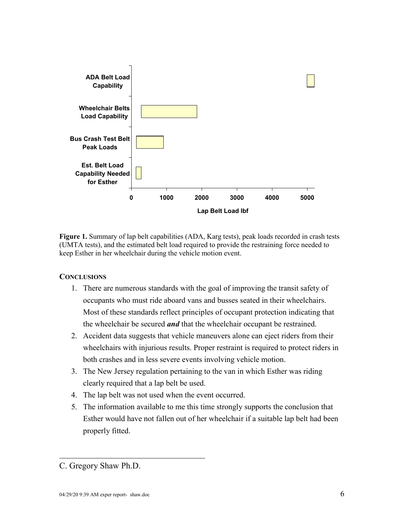

**Figure 1.** Summary of lap belt capabilities (ADA, Karg tests), peak loads recorded in crash tests (UMTA tests), and the estimated belt load required to provide the restraining force needed to keep Esther in her wheelchair during the vehicle motion event.

## **CONCLUSIONS**

- 1. There are numerous standards with the goal of improving the transit safety of occupants who must ride aboard vans and busses seated in their wheelchairs. Most of these standards reflect principles of occupant protection indicating that the wheelchair be secured *and* that the wheelchair occupant be restrained.
- 2. Accident data suggests that vehicle maneuvers alone can eject riders from their wheelchairs with injurious results. Proper restraint is required to protect riders in both crashes and in less severe events involving vehicle motion.
- 3. The New Jersey regulation pertaining to the van in which Esther was riding clearly required that a lap belt be used.
- 4. The lap belt was not used when the event occurred.
- 5. The information available to me this time strongly supports the conclusion that Esther would have not fallen out of her wheelchair if a suitable lap belt had been properly fitted.

 $\frac{1}{2}$  ,  $\frac{1}{2}$  ,  $\frac{1}{2}$  ,  $\frac{1}{2}$  ,  $\frac{1}{2}$  ,  $\frac{1}{2}$  ,  $\frac{1}{2}$  ,  $\frac{1}{2}$  ,  $\frac{1}{2}$  ,  $\frac{1}{2}$  ,  $\frac{1}{2}$  ,  $\frac{1}{2}$  ,  $\frac{1}{2}$  ,  $\frac{1}{2}$  ,  $\frac{1}{2}$  ,  $\frac{1}{2}$  ,  $\frac{1}{2}$  ,  $\frac{1}{2}$  ,  $\frac{1$ 

C. Gregory Shaw Ph.D.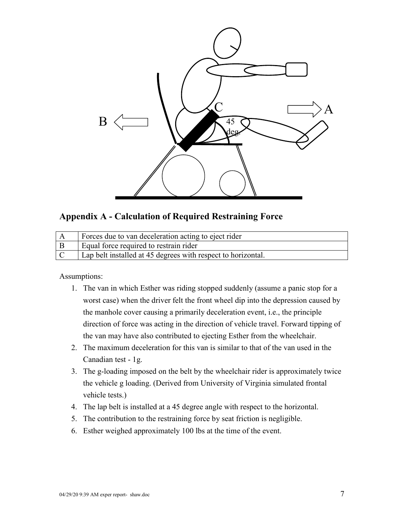

## **Appendix A - Calculation of Required Restraining Force**

|     | Forces due to van deceleration acting to eject rider         |
|-----|--------------------------------------------------------------|
| l B | Equal force required to restrain rider                       |
|     | Lap belt installed at 45 degrees with respect to horizontal. |

## Assumptions:

- 1. The van in which Esther was riding stopped suddenly (assume a panic stop for a worst case) when the driver felt the front wheel dip into the depression caused by the manhole cover causing a primarily deceleration event, i.e., the principle direction of force was acting in the direction of vehicle travel. Forward tipping of the van may have also contributed to ejecting Esther from the wheelchair.
- 2. The maximum deceleration for this van is similar to that of the van used in the Canadian test - 1g.
- 3. The g-loading imposed on the belt by the wheelchair rider is approximately twice the vehicle g loading. (Derived from University of Virginia simulated frontal vehicle tests.)
- 4. The lap belt is installed at a 45 degree angle with respect to the horizontal.
- 5. The contribution to the restraining force by seat friction is negligible.
- 6. Esther weighed approximately 100 lbs at the time of the event.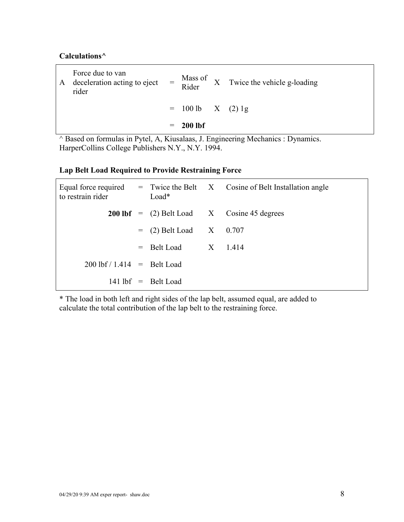## **Calculations^**

|   |                                                                                                     | $= 200$ lbf                 |  |
|---|-----------------------------------------------------------------------------------------------------|-----------------------------|--|
|   |                                                                                                     | $= 100 \text{ lb}$ X (2) 1g |  |
| A | Force due to van<br>deceleration acting to eject $=$ Mass of X Twice the vehicle g-loading<br>rider |                             |  |

^ Based on formulas in Pytel, A, Kiusalaas, J. Engineering Mechanics : Dynamics. HarperCollins College Publishers N.Y., N.Y. 1994.

## **Lap Belt Load Required to Provide Restraining Force**

| to restrain rider                            |  | Load*                     | Equal force required $=$ Twice the Belt $X$ Cosine of Belt Installation angle |
|----------------------------------------------|--|---------------------------|-------------------------------------------------------------------------------|
|                                              |  |                           | <b>200 lbf</b> = $(2)$ Belt Load $X$ Cosine 45 degrees                        |
|                                              |  | $= (2)$ Belt Load X 0.707 |                                                                               |
|                                              |  | $=$ Belt Load X 1.414     |                                                                               |
| $200 \text{ lbf} / 1.414 = \text{Belt Load}$ |  |                           |                                                                               |
|                                              |  | $141$ lbf $=$ Belt Load   |                                                                               |

\* The load in both left and right sides of the lap belt, assumed equal, are added to calculate the total contribution of the lap belt to the restraining force.